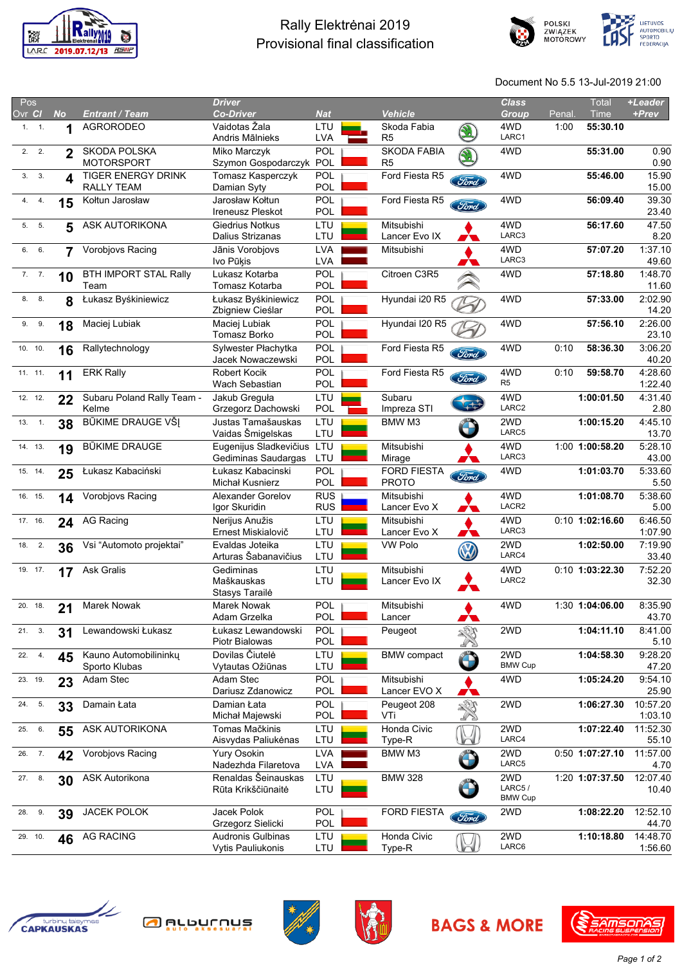

## Rally Elektrėnai 2019 Provisional final classification





Document No 5.5 13-Jul-2019 21:00

| Pos                     |           |                                          | <b>Driver</b>                                 |                          |                                      |             | <b>Class</b>                    |        | <b>Total</b>      | +Leader             |
|-------------------------|-----------|------------------------------------------|-----------------------------------------------|--------------------------|--------------------------------------|-------------|---------------------------------|--------|-------------------|---------------------|
| Ovr Cl                  | <b>No</b> | <b>Entrant / Team</b>                    | <b>Co-Driver</b>                              | <b>Nat</b>               | <b>Vehicle</b>                       |             | <b>Group</b>                    | Penal. | Time              | +Prev               |
| 1. 1.                   | 1         | <b>AGRORODEO</b>                         | Vaidotas Žala<br>Andris Mālnieks              | LTU<br><b>LVA</b>        | Skoda Fabia<br>R <sub>5</sub>        |             | 4WD<br>LARC1                    | 1:00   | 55:30.10          |                     |
| 2.2.                    | 2         | <b>SKODA POLSKA</b><br><b>MOTORSPORT</b> | Miko Marczyk<br>Szymon Gospodarczyk           | POL<br>POL               | <b>SKODA FABIA</b><br>R <sub>5</sub> |             | 4WD                             |        | 55:31.00          | 0.90<br>0.90        |
| 3.3.                    | 4         | <b>TIGER ENERGY DRINK</b><br>RALLY TEAM  | Tomasz Kasperczyk<br>Damian Syty              | POL<br>POL               | Ford Fiesta R5                       | Ford        | 4WD                             |        | 55:46.00          | 15.90<br>15.00      |
| 4. 4.                   | 15        | Kołtun Jarosław                          | Jarosław Kołtun<br><b>Ireneusz Pleskot</b>    | POL<br>POL               | Ford Fiesta R5                       | <b>Ford</b> | 4WD                             |        | 56:09.40          | 39.30<br>23.40      |
| 5. 5.                   | 5         | ASK AUTORIKONA                           | Giedrius Notkus<br>Dalius Strizanas           | LTU<br>LTU               | Mitsubishi<br>Lancer Evo IX          |             | 4WD<br>LARC3                    |        | 56:17.60          | 47.50<br>8.20       |
| 6. 6.                   | 7         | Vorobjovs Racing                         | Jānis Vorobjovs<br>Ivo Pūķis                  | <b>LVA</b><br><b>LVA</b> | Mitsubishi                           |             | 4WD<br>LARC3                    |        | 57:07.20          | 1:37.10<br>49.60    |
| 7.7.                    | 10        | <b>BTH IMPORT STAL Rally</b><br>Team     | Lukasz Kotarba<br>Tomasz Kotarba              | POL<br>POL               | Citroen C3R5                         |             | 4WD                             |        | 57:18.80          | 1:48.70<br>11.60    |
| 8. 8.                   | 8         | Łukasz Byśkiniewicz                      | Łukasz Byśkiniewicz<br>Zbigniew Cieślar       | POL<br><b>POL</b>        | Hyundai i20 R5                       |             | 4WD                             |        | 57:33.00          | 2:02.90<br>14.20    |
| 9. 9.                   | 18        | Maciej Lubiak                            | Maciej Lubiak<br>Tomasz Borko                 | POL<br>POL               | Hyundai I20 R5                       |             | 4WD                             |        | 57:56.10          | 2:26.00<br>23.10    |
| 10.10.                  | 16        | Rallytechnology                          | Sylwester Płachytka<br>Jacek Nowaczewski      | POL<br>POL               | Ford Fiesta R5                       | Ford        | 4WD                             | 0:10   | 58:36.30          | 3:06.20<br>40.20    |
| 11. 11.                 | 11        | <b>ERK Rally</b>                         | <b>Robert Kocik</b><br>Wach Sebastian         | POL<br>POL               | Ford Fiesta R5                       | Ford        | 4WD<br>R <sub>5</sub>           | 0:10   | 59:58.70          | 4:28.60<br>1:22.40  |
| 12. 12.                 | 22        | Subaru Poland Rally Team -<br>Kelme      | Jakub Greguła<br>Grzegorz Dachowski           | LTU<br>POL               | Subaru<br>Impreza STI                |             | 4WD<br>LARC2                    |        | 1:00:01.50        | 4:31.40<br>2.80     |
| 13.<br>$\overline{1}$ . | 38        | BŪKIME DRAUGE VŠĮ                        | Justas Tamašauskas<br>Vaidas Šmigelskas       | LTU<br>LTU               | BMW M3                               |             | 2WD<br>LARC5                    |        | 1:00:15.20        | 4:45.10<br>13.70    |
| 14. 13.                 | 19        | <b>BŪKIME DRAUGE</b>                     | Eugenijus Sladkevičius<br>Gediminas Saudargas | LTU<br>LTU               | Mitsubishi<br>Mirage                 |             | 4WD<br>LARC3                    |        | 1:00 1:00:58.20   | 5:28.10<br>43.00    |
| 15. 14.                 | 25        | Łukasz Kabaciński                        | Łukasz Kabacinski<br>Michał Kusnierz          | POL<br>POL               | <b>FORD FIESTA</b><br><b>PROTO</b>   | Ford        | 4WD                             |        | 1:01:03.70        | 5:33.60<br>5.50     |
| 16. 15.                 | 14        | Vorobjovs Racing                         | <b>Alexander Gorelov</b><br>Igor Skuridin     | <b>RUS</b><br><b>RUS</b> | Mitsubishi<br>Lancer Evo X           | W           | 4WD<br>LACR2                    |        | 1:01:08.70        | 5:38.60<br>5.00     |
| 17. 16.                 | 24        | AG Racing                                | Nerijus Anužis<br>Ernest Miskialovič          | LTU<br>LTU               | Mitsubishi<br>Lancer Evo X           |             | 4WD<br>LARC3                    |        | $0:10$ 1:02:16.60 | 6:46.50<br>1:07.90  |
| 18. 2.                  | 36        | Vsi "Automoto projektai"                 | Evaldas Joteika<br>Arturas Šabanavičius       | LTU<br>LTU               | <b>VW Polo</b>                       |             | 2WD<br>LARC4                    |        | 1:02:50.00        | 7:19.90<br>33.40    |
| 19. 17.                 | 17        | <b>Ask Gralis</b>                        | Gediminas<br>Maškauskas<br>Stasys Taraile     | LTU<br>LTU               | Mitsubishi<br>Lancer Evo IX          |             | 4WD<br>LARC2                    |        | 0:10 1:03:22.30   | 7:52.20<br>32.30    |
| 20. 18.                 | 21        | <b>Marek Nowak</b>                       | Marek Nowak<br>Adam Grzelka                   | POL<br><b>POL</b>        | Mitsubishi<br>Lancer                 | ∧           | 4WD                             |        | 1:30 1:04:06.00   | 8:35.90<br>43.70    |
| 21. 3.                  | 31        | Lewandowski Łukasz                       | Łukasz Lewandowski<br>Piotr Bialowas          | POL<br>POL               | Peugeot                              |             | 2WD                             |        | 1:04:11.10        | 8:41.00<br>5.10     |
| 22. 4.                  | 45        | Kauno Automobilininkų<br>Sporto Klubas   | Dovilas Čiutelė<br>Vytautas Ožiūnas           | LTU<br>LTU               | <b>BMW</b> compact                   |             | 2WD<br><b>BMW Cup</b>           |        | 1:04:58.30        | 9:28.20<br>47.20    |
| 23. 19.                 | 23        | Adam Stec                                | Adam Stec<br>Dariusz Zdanowicz                | POL<br>POL               | Mitsubishi<br>Lancer EVO X           |             | 4WD                             |        | 1:05:24.20        | 9:54.10<br>25.90    |
| 5.<br>24.               | 33        | Damain Łata                              | Damian Łata<br>Michał Majewski                | POL<br>POL               | Peugeot 208<br>VTi                   | SS          | 2WD                             |        | 1:06:27.30        | 10:57.20<br>1:03.10 |
| 25.<br>6.               | 55        | ASK AUTORIKONA                           | Tomas Mačkinis<br>Aisvydas Paliukėnas         | LTU<br>LTU               | Honda Civic<br>Type-R                | $\sim$      | 2WD<br>LARC4                    |        | 1:07:22.40        | 11:52.30<br>55.10   |
| 26. 7.                  | 42        | Vorobjovs Racing                         | Yury Osokin<br>Nadezhda Filaretova            | <b>LVA</b><br>LVA        | BMW M3                               |             | 2WD<br>LARC5                    |        | 0:50 1:07:27.10   | 11:57.00<br>4.70    |
| 27. 8.                  | 30        | ASK Autorikona                           | Renaldas Šeinauskas<br>Rūta Krikščiūnaitė     | LTU<br>LTU               | <b>BMW 328</b>                       |             | 2WD<br>LARC5/<br><b>BMW Cup</b> |        | 1:20 1:07:37.50   | 12:07.40<br>10.40   |
| 28. 9.                  | 39        | JACEK POLOK                              | Jacek Polok<br>Grzegorz Sielicki              | POL<br>POL               | <b>FORD FIESTA</b>                   | (Ford)      | 2WD                             |        | 1:08:22.20        | 12:52.10<br>44.70   |
| 29. 10.                 | 46        | <b>AG RACING</b>                         | Audronis Gulbinas<br><b>Vytis Pauliukonis</b> | LTU<br>LTU               | Honda Civic<br>Type-R                | h           | 2WD<br>LARC6                    |        | 1:10:18.80        | 14:48.70<br>1:56.60 |
|                         |           |                                          |                                               |                          |                                      |             |                                 |        |                   |                     |









**BAGS & MORE**